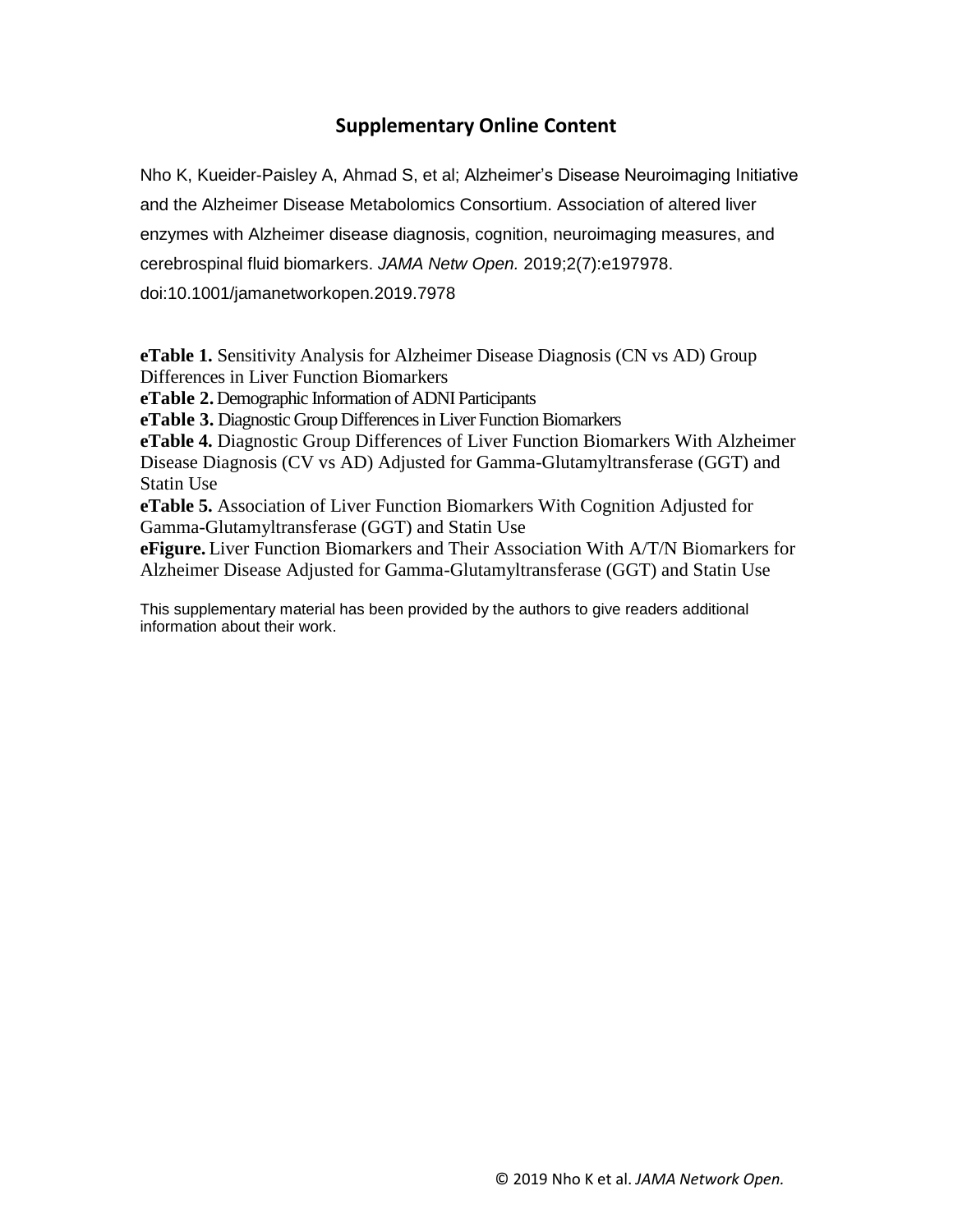## **Supplementary Online Content**

Nho K, Kueider-Paisley A, Ahmad S, et al; Alzheimer's Disease Neuroimaging Initiative and the Alzheimer Disease Metabolomics Consortium. Association of altered liver enzymes with Alzheimer disease diagnosis, cognition, neuroimaging measures, and cerebrospinal fluid biomarkers. *JAMA Netw Open.* 2019;2(7):e197978.

doi:10.1001/jamanetworkopen.2019.7978

**eTable 1.** Sensitivity Analysis for Alzheimer Disease Diagnosis (CN vs AD) Group Differences in Liver Function Biomarkers **eTable 2.** Demographic Information of ADNI Participants **eTable 3.** Diagnostic Group Differences in Liver Function Biomarkers **eTable 4.** Diagnostic Group Differences of Liver Function Biomarkers With Alzheimer Disease Diagnosis (CV vs AD) Adjusted for Gamma-Glutamyltransferase (GGT) and Statin Use **eTable 5.** Association of Liver Function Biomarkers With Cognition Adjusted for Gamma-Glutamyltransferase (GGT) and Statin Use **eFigure.** Liver Function Biomarkers and Their Association With A/T/N Biomarkers for Alzheimer Disease Adjusted for Gamma-Glutamyltransferase (GGT) and Statin Use

This supplementary material has been provided by the authors to give readers additional information about their work.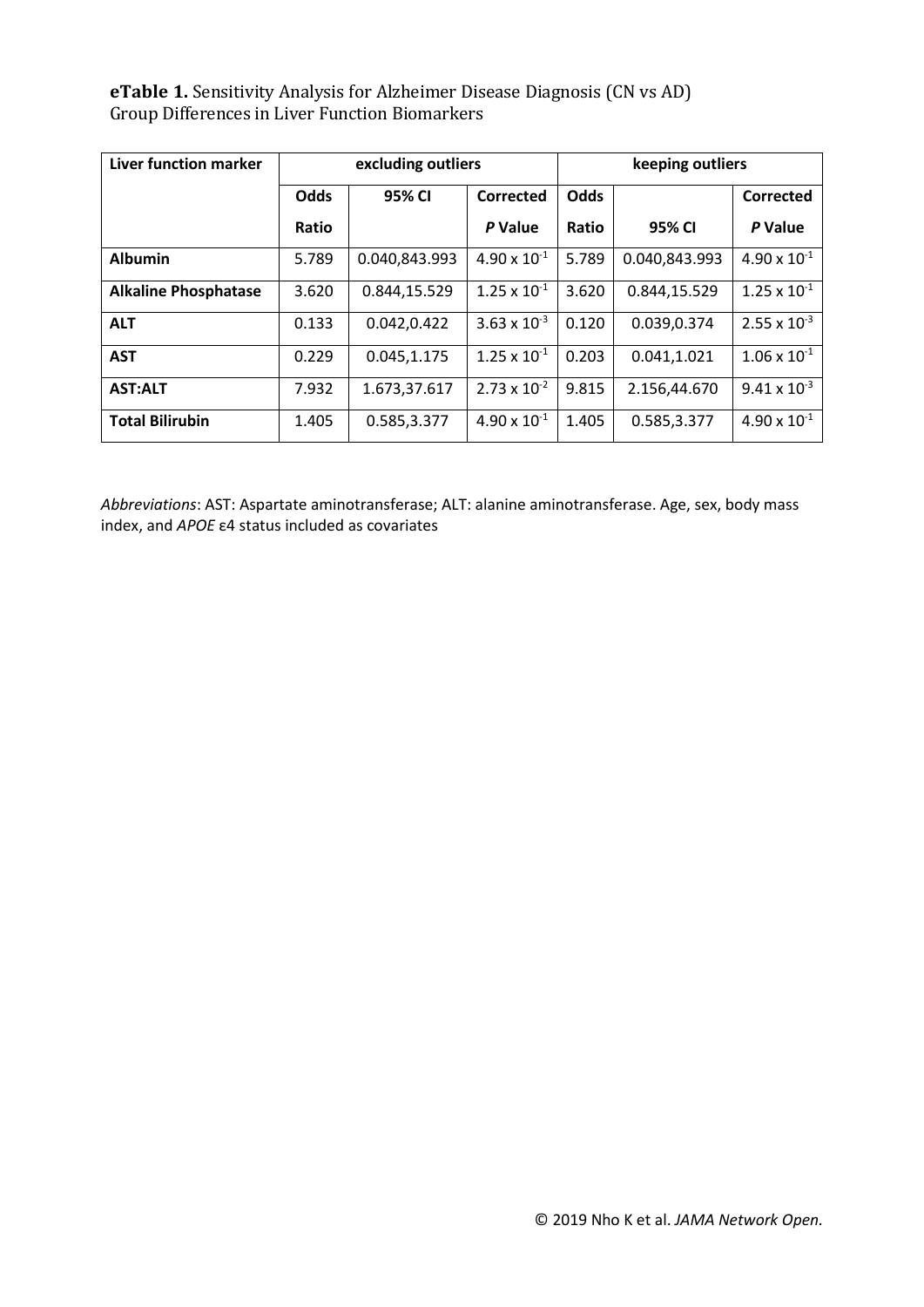**eTable 1.** Sensitivity Analysis for Alzheimer Disease Diagnosis (CN vs AD) Group Differences in Liver Function Biomarkers

| Liver function marker       |             | excluding outliers |                       | keeping outliers |               |                       |  |
|-----------------------------|-------------|--------------------|-----------------------|------------------|---------------|-----------------------|--|
|                             | <b>Odds</b> | 95% CI             | Corrected             | <b>Odds</b>      |               | <b>Corrected</b>      |  |
|                             | Ratio       |                    | P Value               | Ratio            | 95% CI        | P Value               |  |
| <b>Albumin</b>              | 5.789       | 0.040,843.993      | $4.90 \times 10^{-1}$ | 5.789            | 0.040,843.993 | $4.90 \times 10^{-1}$ |  |
| <b>Alkaline Phosphatase</b> | 3.620       | 0.844,15.529       | $1.25 \times 10^{-1}$ | 3.620            | 0.844,15.529  | $1.25 \times 10^{-1}$ |  |
| <b>ALT</b>                  | 0.133       | 0.042,0.422        | $3.63 \times 10^{-3}$ | 0.120            | 0.039,0.374   | $2.55 \times 10^{-3}$ |  |
| <b>AST</b>                  | 0.229       | 0.045,1.175        | $1.25 \times 10^{-1}$ | 0.203            | 0.041,1.021   | $1.06 \times 10^{-1}$ |  |
| <b>AST:ALT</b>              | 7.932       | 1.673,37.617       | $2.73 \times 10^{-2}$ | 9.815            | 2.156,44.670  | $9.41 \times 10^{-3}$ |  |
| <b>Total Bilirubin</b>      | 1.405       | 0.585,3.377        | $4.90 \times 10^{-1}$ | 1.405            | 0.585,3.377   | $4.90 \times 10^{-1}$ |  |

*Abbreviations*: AST: Aspartate aminotransferase; ALT: alanine aminotransferase. Age, sex, body mass index, and *APOE* ε4 status included as covariates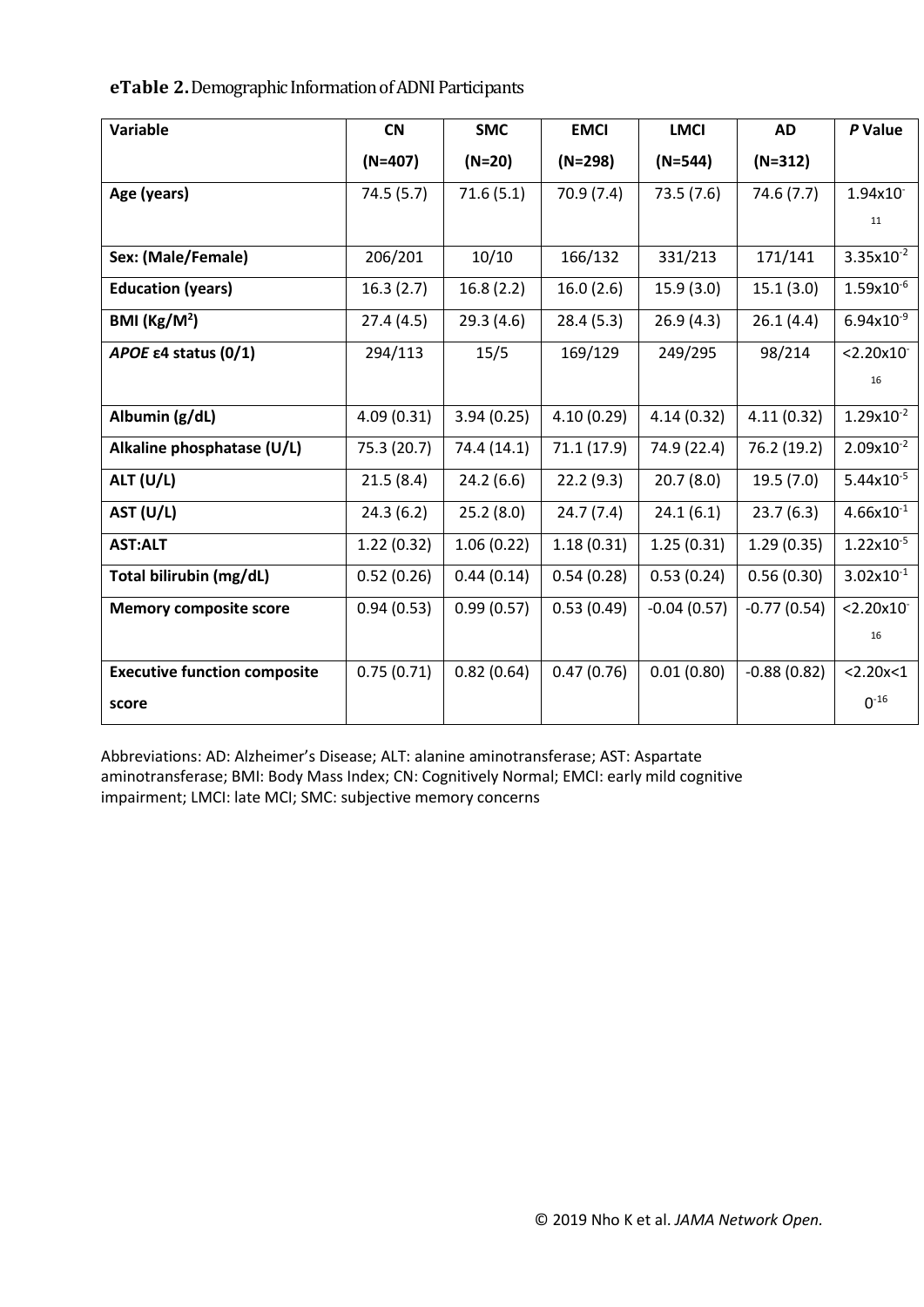**eTable 2.**Demographic Information of ADNI Participants

| Variable                            | <b>CN</b>   | <b>SMC</b>  | <b>EMCI</b> | <b>LMCI</b>   | <b>AD</b>     | P Value                 |
|-------------------------------------|-------------|-------------|-------------|---------------|---------------|-------------------------|
|                                     | $(N=407)$   | $(N=20)$    | $(N=298)$   | $(N=544)$     | $(N=312)$     |                         |
| Age (years)                         | 74.5(5.7)   | 71.6(5.1)   | 70.9(7.4)   | 73.5(7.6)     | 74.6(7.7)     | 1.94x10                 |
|                                     |             |             |             |               |               | 11                      |
| Sex: (Male/Female)                  | 206/201     | 10/10       | 166/132     | 331/213       | 171/141       | $3.35x10^{-2}$          |
| <b>Education (years)</b>            | 16.3(2.7)   | 16.8(2.2)   | 16.0(2.6)   | 15.9(3.0)     | 15.1(3.0)     | $1.59x10^{-6}$          |
| BMI ( $\text{Kg/M}^2$ )             | 27.4(4.5)   | 29.3(4.6)   | 28.4(5.3)   | 26.9(4.3)     | 26.1(4.4)     | $6.94x10^{-9}$          |
| APOE $\epsilon$ 4 status (0/1)      | 294/113     | 15/5        | 169/129     | 249/295       | 98/214        | $< 2.20 \times 10^{-7}$ |
|                                     |             |             |             |               |               | 16                      |
| Albumin (g/dL)                      | 4.09(0.31)  | 3.94(0.25)  | 4.10(0.29)  | 4.14(0.32)    | 4.11(0.32)    | $1.29x10^{-2}$          |
| Alkaline phosphatase (U/L)          | 75.3 (20.7) | 74.4 (14.1) | 71.1(17.9)  | 74.9 (22.4)   | 76.2 (19.2)   | $2.09x10^{-2}$          |
| <b>ALT (U/L)</b>                    | 21.5(8.4)   | 24.2(6.6)   | 22.2(9.3)   | 20.7(8.0)     | 19.5(7.0)     | $5.44x10^{-5}$          |
| AST (U/L)                           | 24.3(6.2)   | 25.2(8.0)   | 24.7(7.4)   | 24.1(6.1)     | 23.7(6.3)     | $4.66x10^{-1}$          |
| <b>AST:ALT</b>                      | 1.22(0.32)  | 1.06(0.22)  | 1.18(0.31)  | 1.25(0.31)    | 1.29(0.35)    | $1.22 \times 10^{-5}$   |
| Total bilirubin (mg/dL)             | 0.52(0.26)  | 0.44(0.14)  | 0.54(0.28)  | 0.53(0.24)    | 0.56(0.30)    | $3.02x10^{-1}$          |
| <b>Memory composite score</b>       | 0.94(0.53)  | 0.99(0.57)  | 0.53(0.49)  | $-0.04(0.57)$ | $-0.77(0.54)$ | $< 2.20 \times 10^{-7}$ |
|                                     |             |             |             |               |               | 16                      |
| <b>Executive function composite</b> | 0.75(0.71)  | 0.82(0.64)  | 0.47(0.76)  | 0.01(0.80)    | $-0.88(0.82)$ | < 2.20x < 1             |
| score                               |             |             |             |               |               | $0^{-16}$               |

Abbreviations: AD: Alzheimer's Disease; ALT: alanine aminotransferase; AST: Aspartate aminotransferase; BMI: Body Mass Index; CN: Cognitively Normal; EMCI: early mild cognitive impairment; LMCI: late MCI; SMC: subjective memory concerns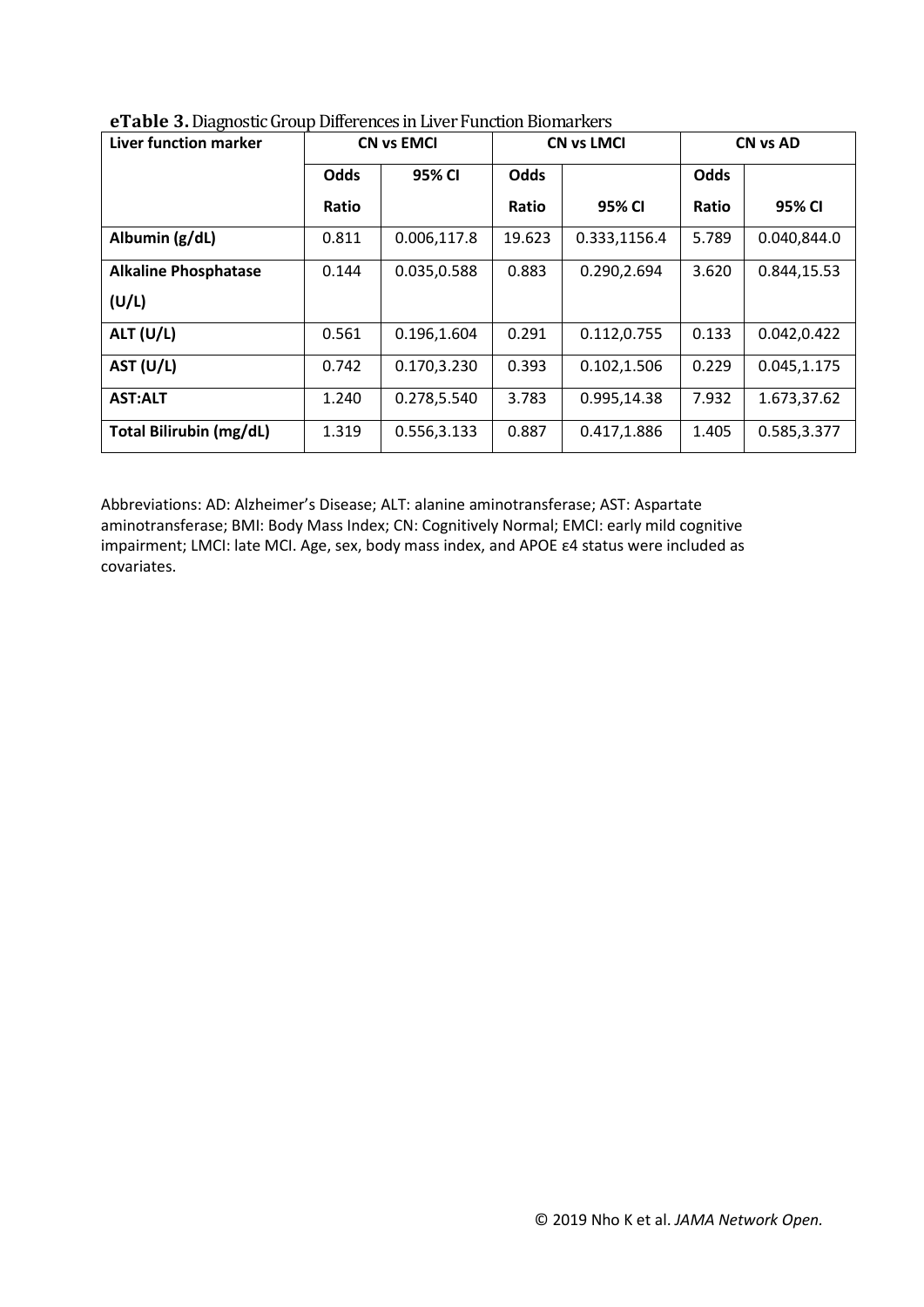| <b>Liver function marker</b>   | <b>CN vs EMCI</b> |             |             | <b>CN vs LMCI</b> | <b>CN vs AD</b> |             |  |
|--------------------------------|-------------------|-------------|-------------|-------------------|-----------------|-------------|--|
|                                | <b>Odds</b>       | 95% CI      | <b>Odds</b> |                   | <b>Odds</b>     |             |  |
|                                | <b>Ratio</b>      |             | Ratio       | 95% CI            | Ratio           | 95% CI      |  |
| Albumin (g/dL)                 | 0.811             | 0.006,117.8 | 19.623      | 0.333,1156.4      | 5.789           | 0.040,844.0 |  |
| <b>Alkaline Phosphatase</b>    | 0.144             | 0.035,0.588 | 0.883       | 0.290,2.694       | 3.620           | 0.844,15.53 |  |
| (U/L)                          |                   |             |             |                   |                 |             |  |
| ALT (U/L)                      | 0.561             | 0.196,1.604 | 0.291       | 0.112,0.755       | 0.133           | 0.042,0.422 |  |
| AST (U/L)                      | 0.742             | 0.170,3.230 | 0.393       | 0.102,1.506       | 0.229           | 0.045,1.175 |  |
| <b>AST:ALT</b>                 | 1.240             | 0.278,5.540 | 3.783       | 0.995,14.38       | 7.932           | 1.673,37.62 |  |
| <b>Total Bilirubin (mg/dL)</b> | 1.319             | 0.556,3.133 | 0.887       | 0.417,1.886       | 1.405           | 0.585,3.377 |  |

**eTable 3.** Diagnostic Group Differences in Liver Function Biomarkers

Abbreviations: AD: Alzheimer's Disease; ALT: alanine aminotransferase; AST: Aspartate aminotransferase; BMI: Body Mass Index; CN: Cognitively Normal; EMCI: early mild cognitive impairment; LMCI: late MCI. Age, sex, body mass index, and APOE ε4 status were included as covariates.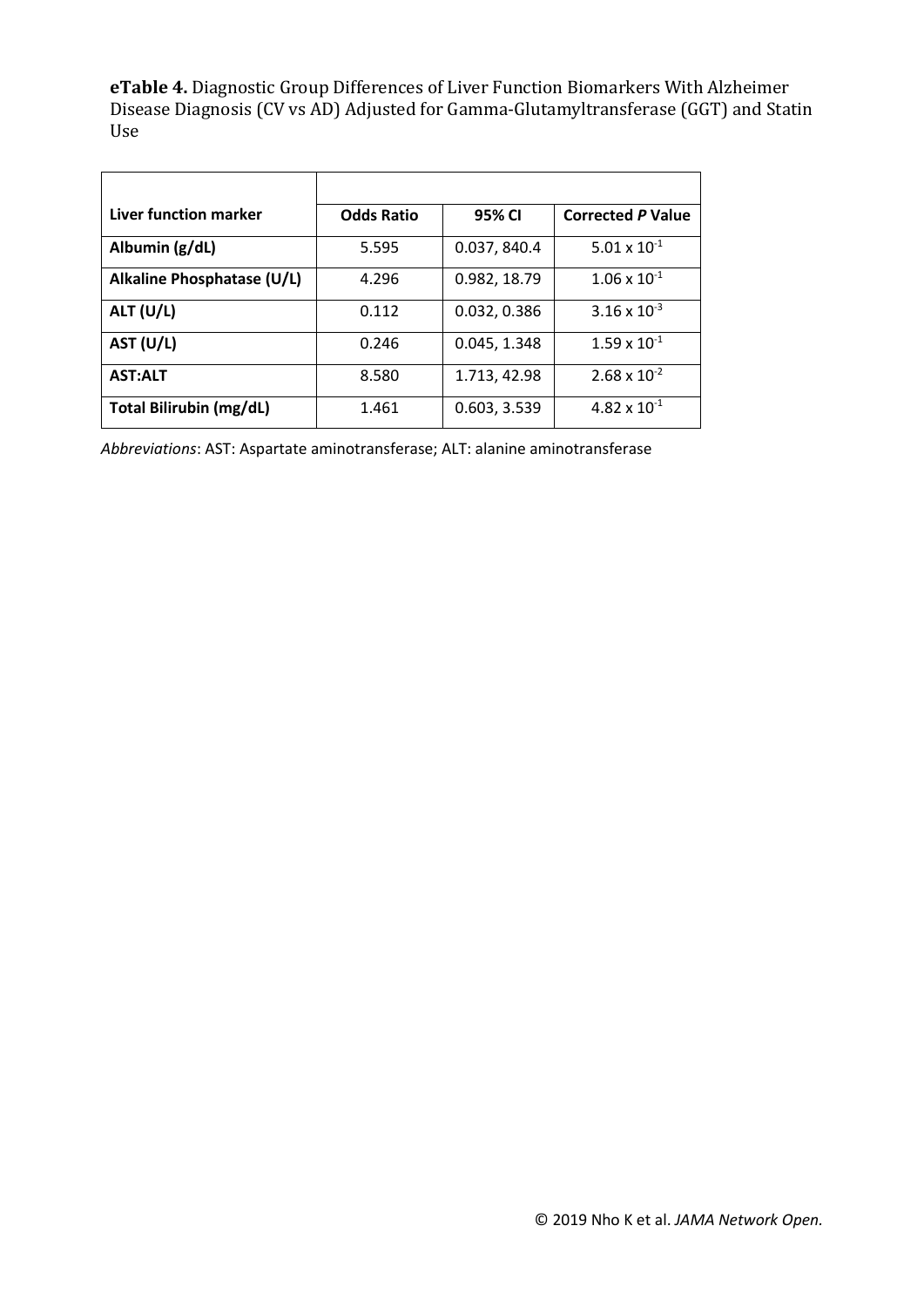**eTable 4.** Diagnostic Group Differences of Liver Function Biomarkers With Alzheimer Disease Diagnosis (CV vs AD) Adjusted for Gamma-Glutamyltransferase (GGT) and Statin Use

| Liver function marker          | <b>Odds Ratio</b> | 95% CI       | <b>Corrected P Value</b> |
|--------------------------------|-------------------|--------------|--------------------------|
| Albumin (g/dL)                 | 5.595             | 0.037, 840.4 | $5.01 \times 10^{-1}$    |
| Alkaline Phosphatase (U/L)     | 4.296             | 0.982, 18.79 | $1.06 \times 10^{-1}$    |
| ALT $(U/L)$                    | 0.112             | 0.032, 0.386 | $3.16 \times 10^{-3}$    |
| AST (U/L)                      | 0.246             | 0.045, 1.348 | $1.59 \times 10^{-1}$    |
| <b>AST:ALT</b>                 | 8.580             | 1.713, 42.98 | $2.68 \times 10^{-2}$    |
| <b>Total Bilirubin (mg/dL)</b> | 1.461             | 0.603, 3.539 | $4.82 \times 10^{-1}$    |

*Abbreviations*: AST: Aspartate aminotransferase; ALT: alanine aminotransferase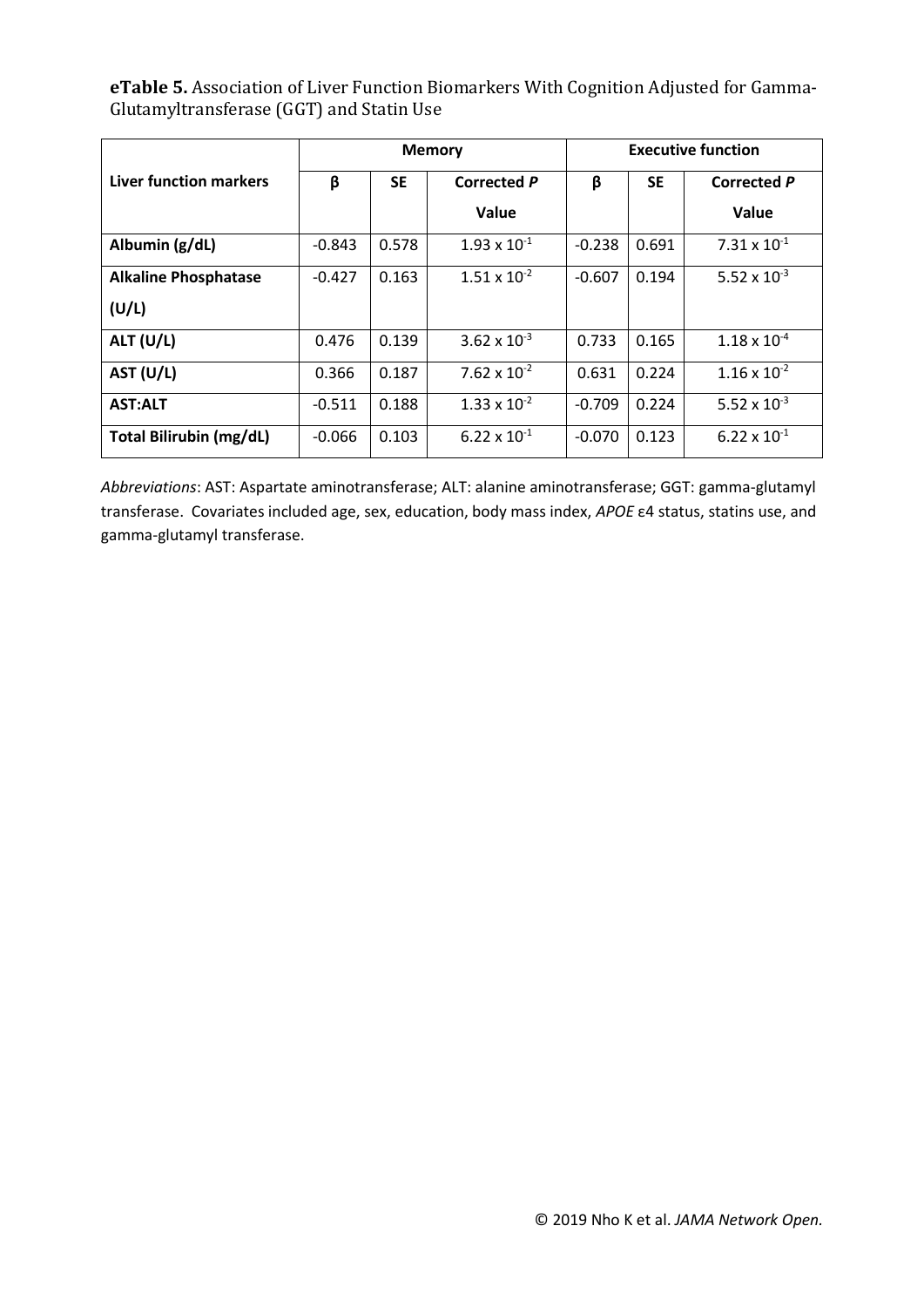**eTable 5.** Association of Liver Function Biomarkers With Cognition Adjusted for Gamma-Glutamyltransferase (GGT) and Statin Use

|                                | <b>Memory</b> |           |                                | <b>Executive function</b> |           |                       |  |
|--------------------------------|---------------|-----------|--------------------------------|---------------------------|-----------|-----------------------|--|
| Liver function markers         | β             | <b>SE</b> | <b>Corrected P</b>             | β                         | <b>SE</b> | <b>Corrected P</b>    |  |
|                                |               |           | Value                          |                           |           | Value                 |  |
| Albumin (g/dL)                 | $-0.843$      | 0.578     | $1.93 \times 10^{-1}$          | $-0.238$                  | 0.691     | $7.31 \times 10^{-1}$ |  |
| <b>Alkaline Phosphatase</b>    | $-0.427$      | 0.163     | $1.51 \times 10^{-2}$          | $-0.607$                  | 0.194     | 5.52 x $10^{-3}$      |  |
| (U/L)                          |               |           |                                |                           |           |                       |  |
| ALT (U/L)                      | 0.476         | 0.139     | $3.62 \times 10^{-3}$          | 0.733                     | 0.165     | $1.18 \times 10^{-4}$ |  |
| AST (U/L)                      | 0.366         | 0.187     | 7.62 $\times$ 10 <sup>-2</sup> | 0.631                     | 0.224     | $1.16 \times 10^{-2}$ |  |
| <b>AST:ALT</b>                 | $-0.511$      | 0.188     | $1.33 \times 10^{-2}$          | $-0.709$                  | 0.224     | 5.52 x $10^{-3}$      |  |
| <b>Total Bilirubin (mg/dL)</b> | $-0.066$      | 0.103     | $6.22 \times 10^{-1}$          | $-0.070$                  | 0.123     | $6.22 \times 10^{-1}$ |  |

*Abbreviations*: AST: Aspartate aminotransferase; ALT: alanine aminotransferase; GGT: gamma-glutamyl transferase. Covariates included age, sex, education, body mass index, *APOE* ε4 status, statins use, and gamma-glutamyl transferase.